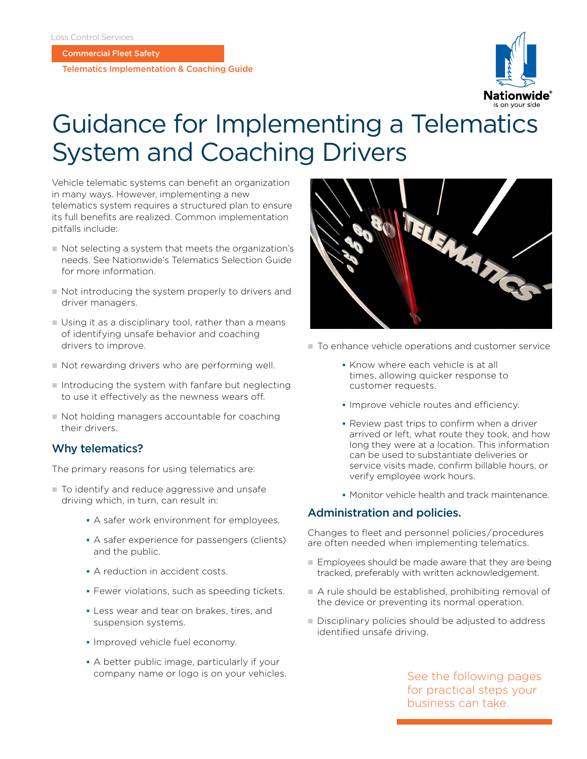Commercial Fleet Safety

Telematics Implementation & Coaching Guide



# Guidance for Implementing a Telematics System and Coaching Drivers

Vehicle telematic systems can benefit an organization in many ways. However, implementing a new telematics system requires a structured plan to ensure its full benefits are realized. Common implementation pitfalls include:

- n Not selecting a system that meets the organization's needs. See Nationwide's Telematics Selection Guide for more information.
- $\blacksquare$  Not introducing the system properly to drivers and driver managers.
- $\blacksquare$  Using it as a disciplinary tool, rather than a means of identifying unsafe behavior and coaching drivers to improve.
- $\blacksquare$  Not rewarding drivers who are performing well.
- $\blacksquare$  Introducing the system with fanfare but neglecting to use it effectively as the newness wears off.
- $\blacksquare$  Not holding managers accountable for coaching their drivers.

# Why telematics?

The primary reasons for using telematics are:

- $\blacksquare$  To identify and reduce aggressive and unsafe driving which, in turn, can result in:
	- A safer work environment for employees.
	- A safer experience for passengers (clients) and the public.
	- A reduction in accident costs.
	- **Fewer violations, such as speeding tickets.**
	- Less wear and tear on brakes, tires, and suspension systems.
	- **Improved vehicle fuel economy.**
	- A better public image, particularly if your company name or logo is on your vehicles.



- $\blacksquare$  To enhance vehicle operations and customer service
	- **Know where each vehicle is at all** times, allowing quicker response to customer requests.
	- **Improve vehicle routes and efficiency.**
	- Review past trips to confirm when a driver arrived or left, what route they took, and how long they were at a location. This information can be used to substantiate deliveries or service visits made, confirm billable hours, or verify employee work hours.
	- **Monitor vehicle health and track maintenance.**

## Administration and policies.

Changes to fleet and personnel policies / procedures are often needed when implementing telematics.

- $\blacksquare$  Employees should be made aware that they are being tracked, preferably with written acknowledgement.
- $\blacksquare$  A rule should be established, prohibiting removal of the device or preventing its normal operation.
- Disciplinary policies should be adjusted to address identified unsafe driving.

See the following pages for practical steps your business can take.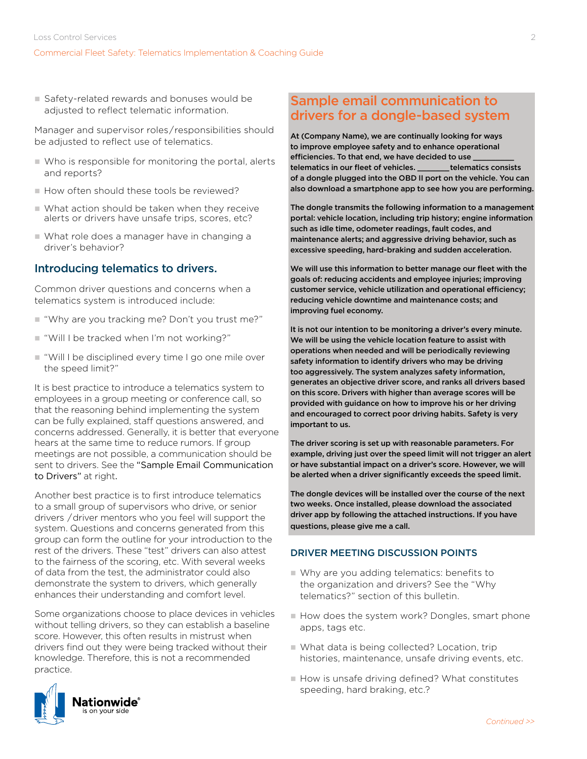■ Safety-related rewards and bonuses would be adjusted to reflect telematic information.

Manager and supervisor roles / responsibilities should be adjusted to reflect use of telematics.

- $\blacksquare$  Who is responsible for monitoring the portal, alerts and reports?
- $\blacksquare$  How often should these tools be reviewed?
- $\blacksquare$  What action should be taken when they receive alerts or drivers have unsafe trips, scores, etc?
- n What role does a manager have in changing a driver's behavior?

# Introducing telematics to drivers.

Common driver questions and concerns when a telematics system is introduced include:

- $\blacksquare$  "Why are you tracking me? Don't you trust me?"
- "Will I be tracked when I'm not working?"
- "Will I be disciplined every time I go one mile over the speed limit?"

It is best practice to introduce a telematics system to employees in a group meeting or conference call, so that the reasoning behind implementing the system can be fully explained, staff questions answered, and concerns addressed. Generally, it is better that everyone hears at the same time to reduce rumors. If group meetings are not possible, a communication should be sent to drivers. See the "Sample Email Communication to Drivers" at right.

Another best practice is to first introduce telematics to a small group of supervisors who drive, or senior drivers  / driver mentors who you feel will support the system. Questions and concerns generated from this group can form the outline for your introduction to the rest of the drivers. These "test" drivers can also attest to the fairness of the scoring, etc. With several weeks of data from the test, the administrator could also demonstrate the system to drivers, which generally enhances their understanding and comfort level.

Some organizations choose to place devices in vehicles without telling drivers, so they can establish a baseline score. However, this often results in mistrust when drivers find out they were being tracked without their knowledge. Therefore, this is not a recommended practice.



# Sample email communication to drivers for a dongle-based system

At (Company Name), we are continually looking for ways to improve employee safety and to enhance operational efficiencies. To that end, we have decided to use \_\_\_\_\_\_\_\_\_ telematics in our fleet of vehicles. \_\_\_\_\_\_\_ telematics consists of a dongle plugged into the OBD II port on the vehicle. You can also download a smartphone app to see how you are performing.

The dongle transmits the following information to a management portal: vehicle location, including trip history; engine information such as idle time, odometer readings, fault codes, and maintenance alerts; and aggressive driving behavior, such as excessive speeding, hard-braking and sudden acceleration.

We will use this information to better manage our fleet with the goals of: reducing accidents and employee injuries; improving customer service, vehicle utilization and operational efficiency; reducing vehicle downtime and maintenance costs; and improving fuel economy.

It is not our intention to be monitoring a driver's every minute. We will be using the vehicle location feature to assist with operations when needed and will be periodically reviewing safety information to identify drivers who may be driving too aggressively. The system analyzes safety information, generates an objective driver score, and ranks all drivers based on this score. Drivers with higher than average scores will be provided with guidance on how to improve his or her driving and encouraged to correct poor driving habits. Safety is very important to us.

The driver scoring is set up with reasonable parameters. For example, driving just over the speed limit will not trigger an alert or have substantial impact on a driver's score. However, we will be alerted when a driver significantly exceeds the speed limit.

The dongle devices will be installed over the course of the next two weeks. Once installed, please download the associated driver app by following the attached instructions. If you have questions, please give me a call.

## DRIVER MEETING DISCUSSION POINTS

- $\blacksquare$  Why are you adding telematics: benefits to the organization and drivers? See the "Why telematics?" section of this bulletin.
- How does the system work? Dongles, smart phone apps, tags etc.
- What data is being collected? Location, trip histories, maintenance, unsafe driving events, etc.
- $\blacksquare$  How is unsafe driving defined? What constitutes speeding, hard braking, etc.?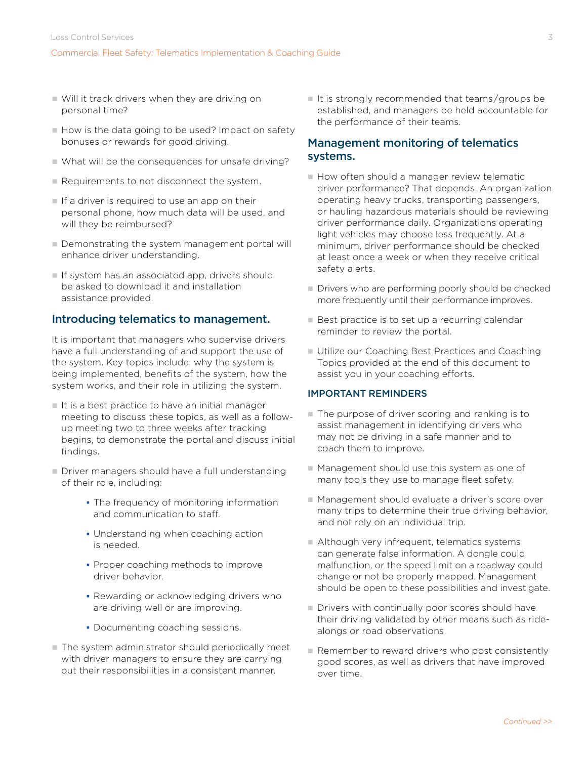- $\blacksquare$  Will it track drivers when they are driving on personal time?
- $\blacksquare$  How is the data going to be used? Impact on safety bonuses or rewards for good driving.
- $\blacksquare$  What will be the consequences for unsafe driving?
- $\blacksquare$  Requirements to not disconnect the system.
- $\blacksquare$  If a driver is required to use an app on their personal phone, how much data will be used, and will they be reimbursed?
- Demonstrating the system management portal will enhance driver understanding.
- $\blacksquare$  If system has an associated app, drivers should be asked to download it and installation assistance provided.

#### Introducing telematics to management.

It is important that managers who supervise drivers have a full understanding of and support the use of the system. Key topics include: why the system is being implemented, benefits of the system, how the system works, and their role in utilizing the system.

- $\blacksquare$  It is a best practice to have an initial manager meeting to discuss these topics, as well as a followup meeting two to three weeks after tracking begins, to demonstrate the portal and discuss initial findings.
- Driver managers should have a full understanding of their role, including:
	- **The frequency of monitoring information** and communication to staff.
	- Understanding when coaching action is needed.
	- **Proper coaching methods to improve** driver behavior.
	- Rewarding or acknowledging drivers who are driving well or are improving.
	- Documenting coaching sessions.
- The system administrator should periodically meet with driver managers to ensure they are carrying out their responsibilities in a consistent manner.

 $\blacksquare$  It is strongly recommended that teams/groups be established, and managers be held accountable for the performance of their teams.

## Management monitoring of telematics systems.

- $\blacksquare$  How often should a manager review telematic driver performance? That depends. An organization operating heavy trucks, transporting passengers, or hauling hazardous materials should be reviewing driver performance daily. Organizations operating light vehicles may choose less frequently. At a minimum, driver performance should be checked at least once a week or when they receive critical safety alerts.
- $\blacksquare$  Drivers who are performing poorly should be checked more frequently until their performance improves.
- $\blacksquare$  Best practice is to set up a recurring calendar reminder to review the portal.
- Utilize our Coaching Best Practices and Coaching Topics provided at the end of this document to assist you in your coaching efforts.

#### IMPORTANT REMINDERS

- The purpose of driver scoring and ranking is to assist management in identifying drivers who may not be driving in a safe manner and to coach them to improve.
- Management should use this system as one of many tools they use to manage fleet safety.
- Management should evaluate a driver's score over many trips to determine their true driving behavior, and not rely on an individual trip.
- n Although very infrequent, telematics systems can generate false information. A dongle could malfunction, or the speed limit on a roadway could change or not be properly mapped. Management should be open to these possibilities and investigate.
- $\blacksquare$  Drivers with continually poor scores should have their driving validated by other means such as ridealongs or road observations.
- Remember to reward drivers who post consistently good scores, as well as drivers that have improved over time.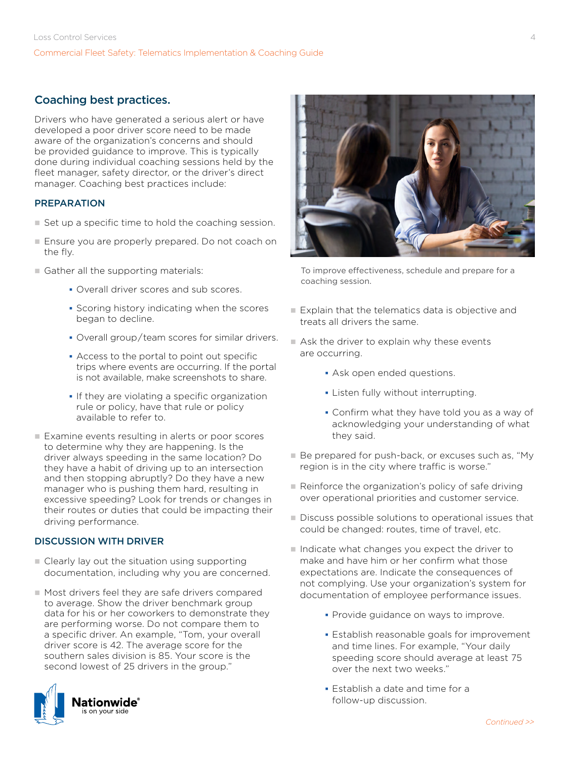# Coaching best practices.

Drivers who have generated a serious alert or have developed a poor driver score need to be made aware of the organization's concerns and should be provided guidance to improve. This is typically done during individual coaching sessions held by the fleet manager, safety director, or the driver's direct manager. Coaching best practices include:

#### PREPARATION

- $\blacksquare$  Set up a specific time to hold the coaching session.
- Ensure you are properly prepared. Do not coach on the fly.
- $\blacksquare$  Gather all the supporting materials:
	- Overall driver scores and sub scores.
	- **Scoring history indicating when the scores** began to decline.
	- Overall group / team scores for similar drivers.
	- Access to the portal to point out specific trips where events are occurring. If the portal is not available, make screenshots to share.
	- **If they are violating a specific organization** rule or policy, have that rule or policy available to refer to.
- Examine events resulting in alerts or poor scores to determine why they are happening. Is the driver always speeding in the same location? Do they have a habit of driving up to an intersection and then stopping abruptly? Do they have a new manager who is pushing them hard, resulting in excessive speeding? Look for trends or changes in their routes or duties that could be impacting their driving performance.

## DISCUSSION WITH DRIVER

- $\blacksquare$  Clearly lay out the situation using supporting documentation, including why you are concerned.
- $\blacksquare$  Most drivers feel they are safe drivers compared to average. Show the driver benchmark group data for his or her coworkers to demonstrate they are performing worse. Do not compare them to a specific driver. An example, "Tom, your overall driver score is 42. The average score for the southern sales division is 85. Your score is the second lowest of 25 drivers in the group."





To improve effectiveness, schedule and prepare for a coaching session.

- $\blacksquare$  Explain that the telematics data is objective and treats all drivers the same.
- $\blacksquare$  Ask the driver to explain why these events are occurring.
	- Ask open ended questions.
	- **-** Listen fully without interrupting.
	- Confirm what they have told you as a way of acknowledging your understanding of what they said.
- Be prepared for push-back, or excuses such as, "My region is in the city where traffic is worse."
- $\blacksquare$  Reinforce the organization's policy of safe driving over operational priorities and customer service.
- Discuss possible solutions to operational issues that could be changed: routes, time of travel, etc.
- $\blacksquare$  Indicate what changes you expect the driver to make and have him or her confirm what those expectations are. Indicate the consequences of not complying. Use your organization's system for documentation of employee performance issues.
	- **Provide guidance on ways to improve.**
	- **Establish reasonable goals for improvement** and time lines. For example, "Your daily speeding score should average at least 75 over the next two weeks."
	- **Establish a date and time for a** follow-up discussion.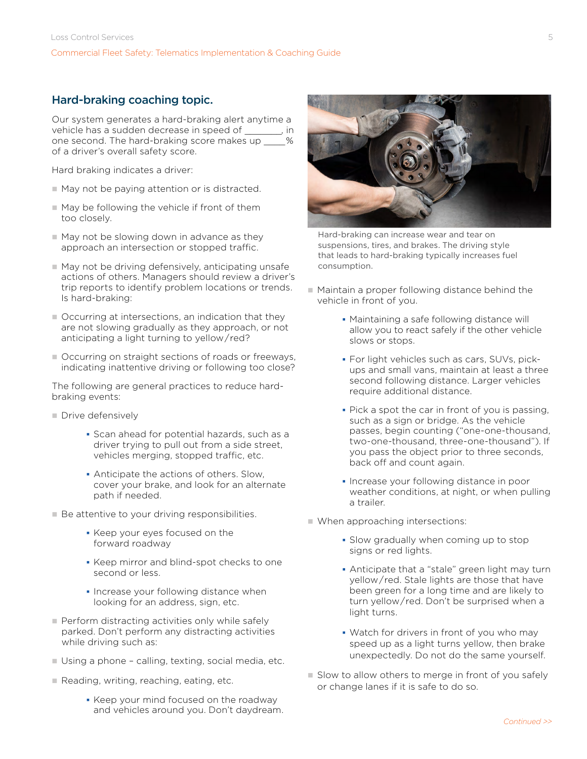# Hard-braking coaching topic.

Our system generates a hard-braking alert anytime a vehicle has a sudden decrease in speed of \_\_\_\_\_\_\_, in one second. The hard-braking score makes up  $\frac{1}{2}$  % of a driver's overall safety score.

Hard braking indicates a driver:

- $\blacksquare$  May not be paying attention or is distracted.
- $\blacksquare$  May be following the vehicle if front of them too closely.
- $\blacksquare$  May not be slowing down in advance as they approach an intersection or stopped traffic.
- May not be driving defensively, anticipating unsafe actions of others. Managers should review a driver's trip reports to identify problem locations or trends. Is hard-braking:
- $\blacksquare$  Occurring at intersections, an indication that they are not slowing gradually as they approach, or not anticipating a light turning to yellow / red?
- Occurring on straight sections of roads or freeways, indicating inattentive driving or following too close?

The following are general practices to reduce hardbraking events:

- Drive defensively
	- Scan ahead for potential hazards, such as a driver trying to pull out from a side street, vehicles merging, stopped traffic, etc.
	- Anticipate the actions of others. Slow, cover your brake, and look for an alternate path if needed.
- Be attentive to your driving responsibilities.
	- Keep your eyes focused on the forward roadway
	- **Keep mirror and blind-spot checks to one** second or less.
	- **Increase your following distance when** looking for an address, sign, etc.
- **Perform distracting activities only while safely** parked. Don't perform any distracting activities while driving such as:
- $\blacksquare$  Using a phone calling, texting, social media, etc.
- $\blacksquare$  Reading, writing, reaching, eating, etc.
	- Keep your mind focused on the roadway and vehicles around you. Don't daydream.



Hard-braking can increase wear and tear on suspensions, tires, and brakes. The driving style that leads to hard-braking typically increases fuel consumption.

- $\blacksquare$  Maintain a proper following distance behind the vehicle in front of you.
	- Maintaining a safe following distance will allow you to react safely if the other vehicle slows or stops.
	- For light vehicles such as cars, SUVs, pickups and small vans, maintain at least a three second following distance. Larger vehicles require additional distance.
	- Pick a spot the car in front of you is passing, such as a sign or bridge. As the vehicle passes, begin counting ("one-one-thousand, two-one-thousand, three-one-thousand"). If you pass the object prior to three seconds, back off and count again.
	- **Increase your following distance in poor** weather conditions, at night, or when pulling a trailer.
- $\blacksquare$  When approaching intersections:
	- Slow gradually when coming up to stop signs or red lights.
	- Anticipate that a "stale" green light may turn yellow / red. Stale lights are those that have been green for a long time and are likely to turn yellow / red. Don't be surprised when a light turns.
	- Watch for drivers in front of you who may speed up as a light turns yellow, then brake unexpectedly. Do not do the same yourself.
- $\blacksquare$  Slow to allow others to merge in front of you safely or change lanes if it is safe to do so.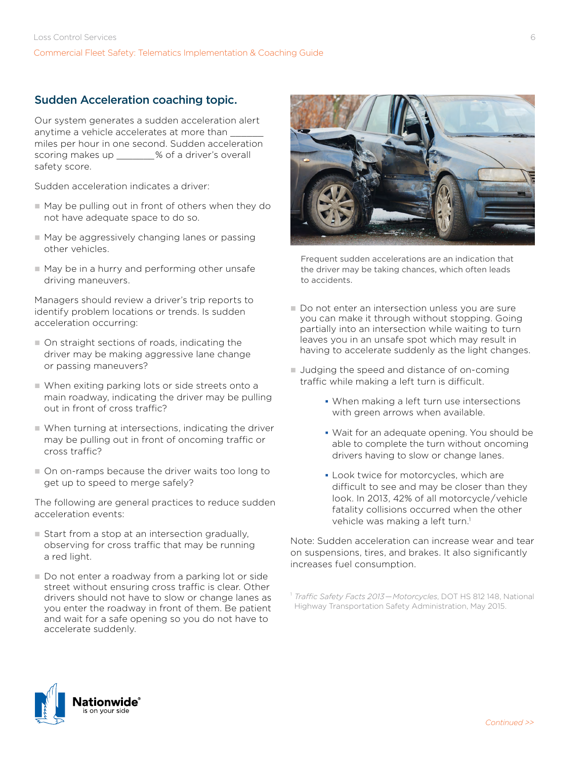# Sudden Acceleration coaching topic.

Our system generates a sudden acceleration alert anytime a vehicle accelerates at more than miles per hour in one second. Sudden acceleration scoring makes up  $\frac{1}{2}$  % of a driver's overall safety score.

Sudden acceleration indicates a driver:

- $\blacksquare$  May be pulling out in front of others when they do not have adequate space to do so.
- $\blacksquare$  May be aggressively changing lanes or passing other vehicles.
- $\blacksquare$  May be in a hurry and performing other unsafe driving maneuvers.

Managers should review a driver's trip reports to identify problem locations or trends. Is sudden acceleration occurring:

- $\blacksquare$  On straight sections of roads, indicating the driver may be making aggressive lane change or passing maneuvers?
- $\blacksquare$  When exiting parking lots or side streets onto a main roadway, indicating the driver may be pulling out in front of cross traffic?
- $\blacksquare$  When turning at intersections, indicating the driver may be pulling out in front of oncoming traffic or cross traffic?
- $\blacksquare$  On on-ramps because the driver waits too long to get up to speed to merge safely?

The following are general practices to reduce sudden acceleration events:

- Start from a stop at an intersection gradually, observing for cross traffic that may be running a red light.
- Do not enter a roadway from a parking lot or side street without ensuring cross traffic is clear. Other drivers should not have to slow or change lanes as you enter the roadway in front of them. Be patient and wait for a safe opening so you do not have to accelerate suddenly.



Frequent sudden accelerations are an indication that the driver may be taking chances, which often leads to accidents.

- Do not enter an intersection unless you are sure you can make it through without stopping. Going partially into an intersection while waiting to turn leaves you in an unsafe spot which may result in having to accelerate suddenly as the light changes.
- **Judging the speed and distance of on-coming** traffic while making a left turn is difficult.
	- When making a left turn use intersections with green arrows when available.
	- Wait for an adequate opening. You should be able to complete the turn without oncoming drivers having to slow or change lanes.
	- **Look twice for motorcycles, which are** difficult to see and may be closer than they look. In 2013, 42% of all motorcycle / vehicle fatality collisions occurred when the other vehicle was making a left turn.<sup>1</sup>

Note: Sudden acceleration can increase wear and tear on suspensions, tires, and brakes. It also significantly increases fuel consumption.



<sup>1</sup> *Traffic Safety Facts 2013 — Motorcycles*, DOT HS 812 148, National Highway Transportation Safety Administration, May 2015.